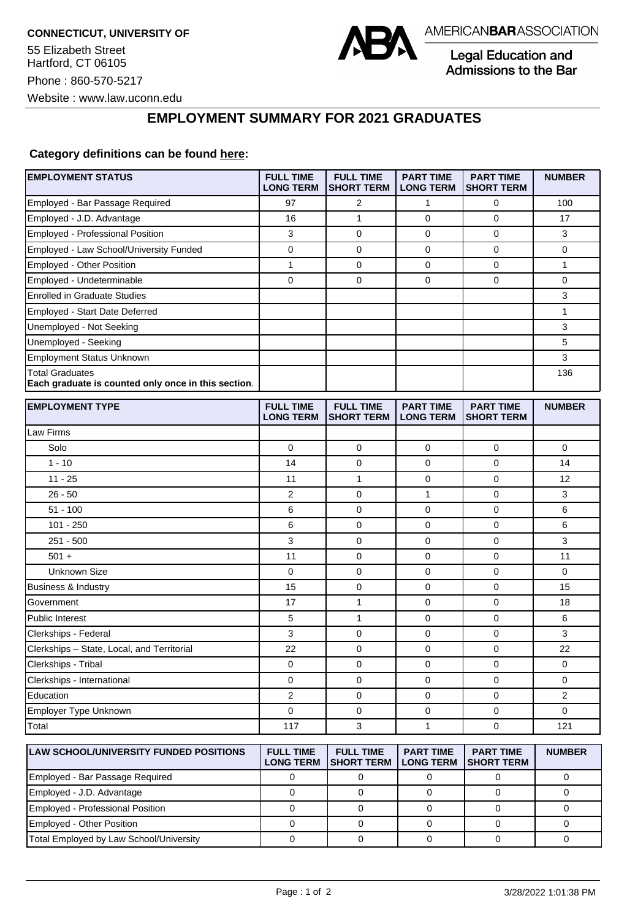

Legal Education and Admissions to the Bar

#### **EMPLOYMENT SUMMARY FOR 2021 GRADUATES**

#### **Category definitions can be found [here:](https://www.americanbar.org/content/dam/aba/administrative/legal_education_and_admissions_to_the_bar/Questionnaires/2021/2022-employment-protocols-for-the-class-of-2021-september-2021.pdf)**

| <b>EMPLOYMENT STATUS</b>                                                      | <b>FULL TIME</b><br><b>LONG TERM</b> | <b>FULL TIME</b><br><b>SHORT TERM</b> | <b>PART TIME</b><br><b>LONG TERM</b> | <b>PART TIME</b><br><b>SHORT TERM</b> | <b>NUMBER</b> |
|-------------------------------------------------------------------------------|--------------------------------------|---------------------------------------|--------------------------------------|---------------------------------------|---------------|
| Employed - Bar Passage Required                                               | 97                                   | 2                                     | $\mathbf{1}$                         | 0                                     | 100           |
| Employed - J.D. Advantage                                                     | 16                                   | 1                                     | 0                                    | 0                                     | 17            |
| Employed - Professional Position                                              | 3                                    | $\mathbf 0$                           | 0                                    | $\mathbf 0$                           | 3             |
| Employed - Law School/University Funded                                       | 0                                    | $\mathbf 0$                           | 0                                    | $\mathbf 0$                           | 0             |
| Employed - Other Position                                                     | 1                                    | $\mathbf 0$                           | 0                                    | $\mathbf 0$                           | 1             |
| Employed - Undeterminable                                                     | 0                                    | $\mathbf 0$                           | 0                                    | $\mathbf 0$                           | 0             |
| <b>Enrolled in Graduate Studies</b>                                           |                                      |                                       |                                      |                                       | 3             |
| Employed - Start Date Deferred                                                |                                      |                                       |                                      |                                       | $\mathbf{1}$  |
| Unemployed - Not Seeking                                                      |                                      |                                       |                                      |                                       | 3             |
| Unemployed - Seeking                                                          |                                      |                                       |                                      |                                       | 5             |
| <b>Employment Status Unknown</b>                                              |                                      |                                       |                                      |                                       | 3             |
| <b>Total Graduates</b><br>Each graduate is counted only once in this section. |                                      |                                       |                                      |                                       | 136           |
| <b>EMPLOYMENT TYPE</b>                                                        | <b>FULL TIME</b><br><b>LONG TERM</b> | <b>FULL TIME</b><br><b>SHORT TERM</b> | <b>PART TIME</b><br><b>LONG TERM</b> | <b>PART TIME</b><br><b>SHORT TERM</b> | <b>NUMBER</b> |
| Law Firms                                                                     |                                      |                                       |                                      |                                       |               |
| Solo                                                                          | 0                                    | 0                                     | 0                                    | $\mathbf 0$                           | 0             |
| $1 - 10$                                                                      | 14                                   | 0                                     | 0                                    | 0                                     | 14            |
| $11 - 25$                                                                     | 11                                   | $\mathbf{1}$                          | 0                                    | $\mathbf 0$                           | 12            |
| $26 - 50$                                                                     | 2                                    | $\mathbf 0$                           | 1                                    | $\mathbf 0$                           | 3             |
| $51 - 100$                                                                    | 6                                    | $\mathbf 0$                           | $\mathbf 0$                          | $\mathbf 0$                           | 6             |
| $101 - 250$                                                                   | 6                                    | 0                                     | 0                                    | 0                                     | 6             |
| $251 - 500$                                                                   | 3                                    | 0                                     | 0                                    | 0                                     | 3             |
| $501 +$                                                                       | 11                                   | $\mathbf 0$                           | 0                                    | $\mathbf 0$                           | 11            |
| Unknown Size                                                                  | 0                                    | 0                                     | 0                                    | $\mathbf 0$                           | 0             |
| Business & Industry                                                           | 15                                   | 0                                     | 0                                    | 0                                     | 15            |
| Government                                                                    | 17                                   | 1                                     | 0                                    | 0                                     | 18            |
| Public Interest                                                               | 5                                    | $\mathbf{1}$                          | 0                                    | $\mathbf 0$                           | 6             |
| Clerkships - Federal                                                          | 3                                    | $\mathbf 0$                           | 0                                    | $\mathbf 0$                           | 3             |
| Clerkships - State, Local, and Territorial                                    | 22                                   | 0                                     | $\mathbf 0$                          | $\mathbf 0$                           | 22            |
| Clerkships - Tribal                                                           | 0                                    | 0                                     | 0                                    | 0                                     | 0             |
| Clerkships - International                                                    | 0                                    | $\mathbf 0$                           | 0                                    | 0                                     | 0             |
| Education                                                                     | 2                                    | 0                                     | 0                                    | 0                                     | 2             |
| Employer Type Unknown                                                         | 0                                    | $\mathbf 0$                           | 0                                    | 0                                     | 0             |
| Total                                                                         | 117                                  | 3                                     | 1                                    | $\mathbf 0$                           | 121           |
| <b>LAW SCHOOL/UNIVERSITY FUNDED POSITIONS</b>                                 | <b>FULL TIME</b><br><b>LONG TERM</b> | <b>FULL TIME</b><br><b>SHORT TERM</b> | <b>PART TIME</b><br><b>LONG TERM</b> | <b>PART TIME</b><br><b>SHORT TERM</b> | <b>NUMBER</b> |
| Employed - Bar Passage Required                                               | $\pmb{0}$                            | $\pmb{0}$                             | $\pmb{0}$                            | 0                                     | 0             |

Employed - J.D. Advantage and the control of the control of the control of the control of the control of the control of the control of the control of the control of the control of the control of the control of the control Employed - Professional Position 0 0 0 0 0 Employed - Other Position 0 0 0 0 0 Total Employed by Law School/University 0 0 0 0 0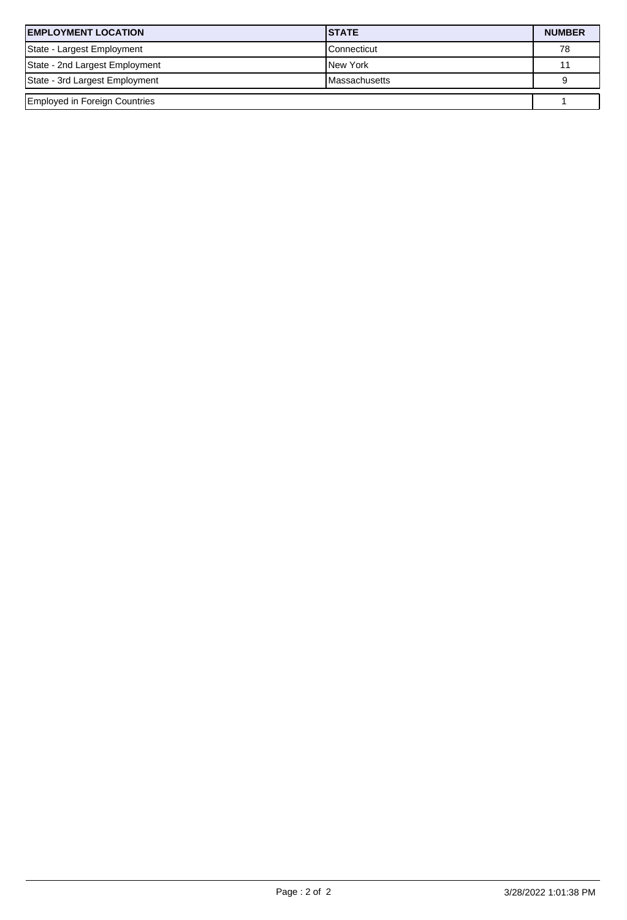| <b>EMPLOYMENT LOCATION</b>           | <b>ISTATE</b>        | <b>NUMBER</b> |
|--------------------------------------|----------------------|---------------|
| State - Largest Employment           | <b>I</b> Connecticut | 78            |
| State - 2nd Largest Employment       | <b>New York</b>      |               |
| State - 3rd Largest Employment       | <b>Massachusetts</b> |               |
| <b>Employed in Foreign Countries</b> |                      |               |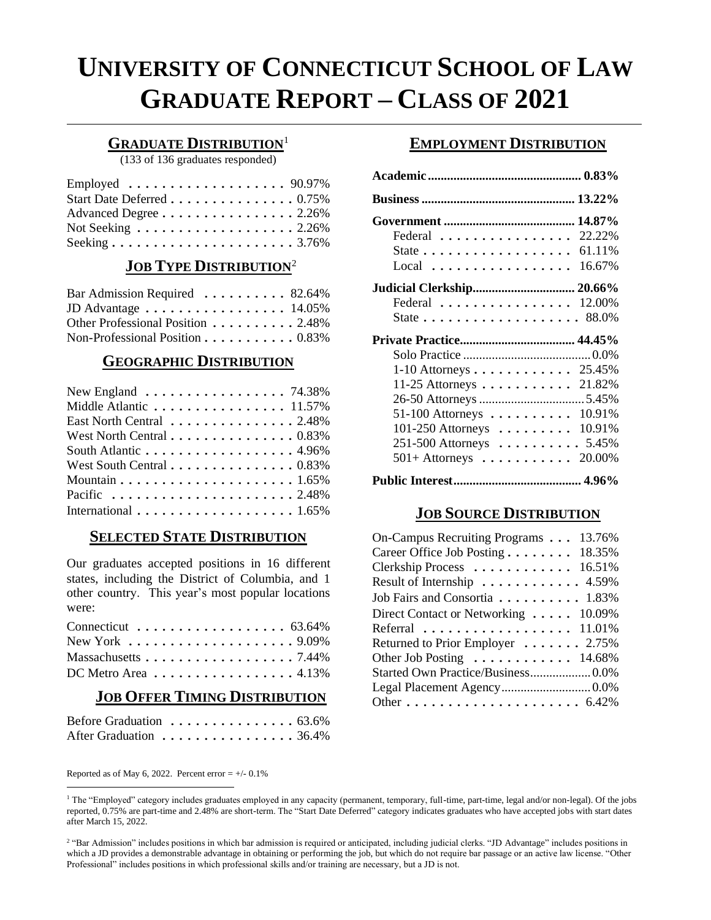# **UNIVERSITY OF CONNECTICUT SCHOOL OF LAW GRADUATE REPORT – CLASS OF 2021**

#### **GRADUATE DISTRIBUTION**<sup>1</sup>

(133 of 136 graduates responded)

| Employed $\ldots \ldots \ldots \ldots \ldots \ldots$ 90.97%    |  |
|----------------------------------------------------------------|--|
| Start Date Deferred 0.75%                                      |  |
| Advanced Degree $\dots \dots \dots \dots \dots 2.26\%$         |  |
| Not Seeking $\dots \dots \dots \dots \dots \dots \dots 2.26\%$ |  |
|                                                                |  |

#### **JOB TYPE DISTRIBUTION**<sup>2</sup>

| Bar Admission Required  82.64%                                   |  |
|------------------------------------------------------------------|--|
| JD Advantage $\dots \dots \dots \dots \dots \dots \dots 14.05\%$ |  |
| Other Professional Position 2.48%                                |  |
| Non-Professional Position 0.83%                                  |  |

#### **GEOGRAPHIC DISTRIBUTION**

| New England $\ldots \ldots \ldots \ldots \ldots$ 74.38%                 |
|-------------------------------------------------------------------------|
| Middle Atlantic $\ldots \ldots \ldots \ldots \ldots 11.57\%$            |
| East North Central 2.48%                                                |
| West North Central 0.83%                                                |
| South Atlantic 4.96%                                                    |
| West South Central 0.83%                                                |
| Mountain $\ldots \ldots \ldots \ldots \ldots \ldots \ldots 1.65\%$      |
|                                                                         |
| International $\ldots \ldots \ldots \ldots \ldots \ldots \ldots 1.65\%$ |

#### **SELECTED STATE DISTRIBUTION**

Our graduates accepted positions in 16 different states, including the District of Columbia, and 1 other country. This year's most popular locations were:

| Connecticut $\ldots \ldots \ldots \ldots \ldots \ldots$ 63.64% |  |
|----------------------------------------------------------------|--|
| New York $\dots\dots\dots\dots\dots\dots\dots9.09\%$           |  |
|                                                                |  |
| DC Metro Area $\dots \dots \dots \dots \dots \dots 4.13\%$     |  |

### **JOB OFFER TIMING DISTRIBUTION**

| Before Graduation $\dots \dots \dots \dots \dots \dots$ 63.6% |  |  |  |  |  |  |  |  |
|---------------------------------------------------------------|--|--|--|--|--|--|--|--|
| After Graduation 36.4%                                        |  |  |  |  |  |  |  |  |

#### **EMPLOYMENT DISTRIBUTION**

| Federal $\ldots$ 22.22%                                        |        |
|----------------------------------------------------------------|--------|
| State $\ldots \ldots \ldots \ldots \ldots$                     | 61.11% |
| $Local \dots \dots \dots \dots \dots \dots$                    | 16.67% |
|                                                                |        |
| Federal $\ldots \ldots \ldots \ldots \ldots$ 12.00%            |        |
| State $\ldots \ldots \ldots \ldots \ldots \ldots \ldots$ 88.0% |        |
|                                                                |        |
|                                                                |        |
|                                                                |        |
|                                                                |        |
| $1-10$ Attorneys 25.45%                                        |        |
| 11-25 Attorneys 21.82%                                         |        |
|                                                                |        |
| 51-100 Attorneys 10.91%                                        |        |
| 101-250 Attorneys  10.91%<br>251-500 Attorneys 5.45%           |        |
| 501+ Attorneys $\dots \dots \dots \dots 20.00\%$               |        |

### **JOB SOURCE DISTRIBUTION**

| 13.76%<br>On-Campus Recruiting Programs |  |
|-----------------------------------------|--|
| Career Office Job Posting 18.35%        |  |
| Clerkship Process  16.51%               |  |
| Result of Internship 4.59%              |  |
| Job Fairs and Consortia 1.83%           |  |
| Direct Contact or Networking  10.09%    |  |
| Referral 11.01%                         |  |
| Returned to Prior Employer 2.75%        |  |
| Other Job Posting  14.68%               |  |
| Started Own Practice/Business 0.0%      |  |
|                                         |  |
|                                         |  |

Reported as of May 6, 2022. Percent error  $= +/-0.1\%$ 

<sup>&</sup>lt;sup>1</sup> The "Employed" category includes graduates employed in any capacity (permanent, temporary, full-time, part-time, legal and/or non-legal). Of the jobs reported, 0.75% are part-time and 2.48% are short-term. The "Start Date Deferred" category indicates graduates who have accepted jobs with start dates after March 15, 2022.

<sup>&</sup>lt;sup>2</sup> "Bar Admission" includes positions in which bar admission is required or anticipated, including judicial clerks. "JD Advantage" includes positions in which a JD provides a demonstrable advantage in obtaining or performing the job, but which do not require bar passage or an active law license. "Other Professional" includes positions in which professional skills and/or training are necessary, but a JD is not.